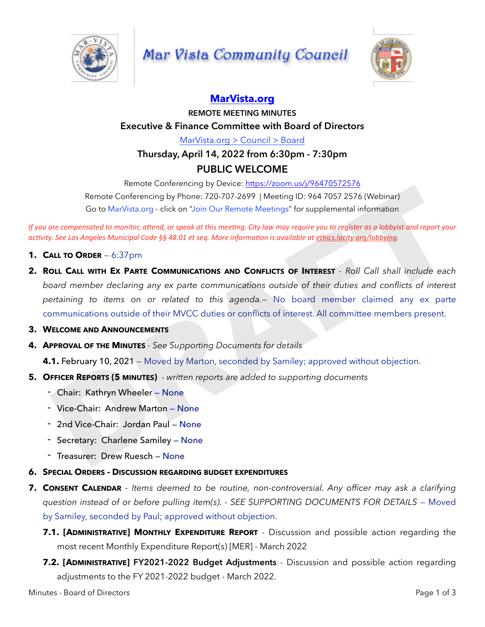

## **Mar Vista Community Council**



## **[MarVista.org](http://MarVista.org)**

**REMOTE MEETING MINUTES Executive & Finance Committee with Board of Directors** [MarVista.org > Council > Board](https://www.marvista.org/committees/viewCommittee/board-of-directors)

## **Thursday, April 14, 2022 from 6:30pm - 7:30pm PUBLIC WELCOME**

Remote Conferencing by Device:<https://zoom.us/j/96470572576> Remote Conferencing by Phone: 720-707-2699 | Meeting ID: 964 7057 2576 (Webinar) Go to MarVista.org - click on "Join Our Remote Meetings" for supplemental information

*If* you are compensated to monitor, attend, or speak at this meeting. City law may require you to register as a lobbyist and report your *activity.* See Los Angeles Municipal Code §§ 48.01 et seg. More information is available at ethics.lacity.org/lobbying.

- **1. CALL TO ORDER** 6:37pm
- **2. ROLL CALL WITH EX PARTE COMMUNICATIONS AND CONFLICTS OF INTEREST**  *Roll Call shall include each board member declaring any ex parte communications outside of their duties and conflicts of interest pertaining to items on or related to this agenda.*— No board member claimed any ex parte communications outside of their MVCC duties or conflicts of interest. All committee members present. Remote Conferencing by Phone: 720-707-2699 | Meeting ID: 964 7057 2576 (Webinar)<br>
Go to MarMista.org - click on "Join Our Remote Meetings" for supplemental information<br>
Go to MarMista.org - click on "Join Our Remote Meetin
- **3. WELCOME AND ANNOUNCEMENTS**
- **4. APPROVAL OF THE MINUTES**  *See Supporting Documents for details*

**4.1. February 10, 2021** – Moved by Marton, seconded by Samiley; approved without objection.

- **5. OFFICER REPORTS (5 MINUTES)**  *written reports are added to supporting documents*
	- Chair: Kathryn Wheeler None
	- Vice-Chair: Andrew Marton None
	- 2nd Vice-Chair: Jordan Paul None
	- Secretary: Charlene Samiley None
	- Treasurer: Drew Ruesch None
- **6. SPECIAL ORDERS DISCUSSION REGARDING BUDGET EXPENDITURES**
- **7. CONSENT CALENDAR**  *Items deemed to be routine, non-controversial. Any officer may ask a clarifying question instead of or before pulling item(s). - SEE SUPPORTING DOCUMENTS FOR DETAILS* — Moved by Samiley, seconded by Paul; approved without objection.
	- **7.1. [ADMINISTRATIVE] MONTHLY EXPENDITURE REPORT** Discussion and possible action regarding the most recent Monthly Expenditure Report(s) [MER] - March 2022
	- **7.2. [ADMINISTRATIVE] FY2021-2022 Budget Adjustments** Discussion and possible action regarding adjustments to the FY 2021-2022 budget - March 2022.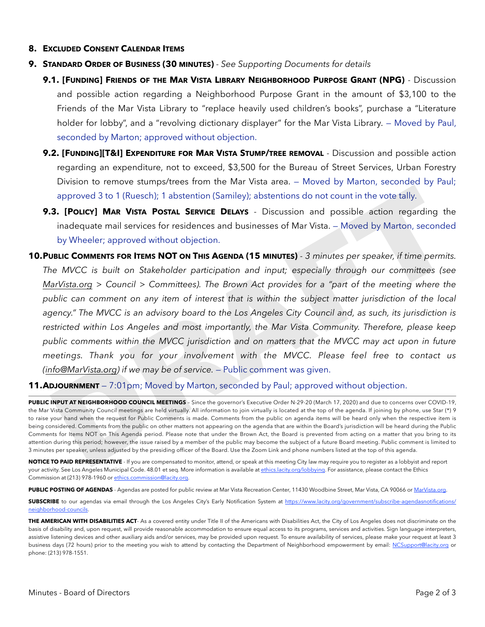## **8. EXCLUDED CONSENT CALENDAR ITEMS**

- **9. STANDARD ORDER OF BUSINESS (30 MINUTES)** *See Supporting Documents for details*
	- **9.1. [FUNDING] FRIENDS OF THE MAR VISTA LIBRARY NEIGHBORHOOD PURPOSE GRANT (NPG)**  Discussion and possible action regarding a Neighborhood Purpose Grant in the amount of \$3,100 to the Friends of the Mar Vista Library to "replace heavily used children's books", purchase a "Literature holder for lobby", and a "revolving dictionary displayer" for the Mar Vista Library. – Moved by Paul, seconded by Marton; approved without objection.
	- **9.2. [FUNDING][T&I] EXPENDITURE FOR MAR VISTA STUMP/TREE REMOVAL** Discussion and possible action regarding an expenditure, not to exceed, \$3,500 for the Bureau of Street Services, Urban Forestry Division to remove stumps/trees from the Mar Vista area. — Moved by Marton, seconded by Paul; approved 3 to 1 (Ruesch); 1 abstention (Samiley); abstentions do not count in the vote tally.
	- **9.3. [POLICY] MAR VISTA POSTAL SERVICE DELAYS** Discussion and possible action regarding the inadequate mail services for residences and businesses of Mar Vista. — Moved by Marton, seconded by Wheeler; approved without objection.
- **10.PUBLIC COMMENTS FOR ITEMS NOT ON THIS AGENDA (15 MINUTES)**  *3 minutes per speaker, if time permits. The MVCC is built on Stakeholder participation and input; especially through our committees (see MarVista.org > Council > Committees). The Brown Act provides for a "part of the meeting where the public can comment on any item of interest that is within the subject matter jurisdiction of the local*  agency." The MVCC is an advisory board to the Los Angeles City Council and, as such, its jurisdiction is *restricted within Los Angeles and most importantly, the Mar Vista Community. Therefore, please keep public comments within the MVCC jurisdiction and on matters that the MVCC may act upon in future meetings. Thank you for your involvement with the MVCC. Please feel free to contact us (info@MarVista.org) if we may be of service.* — Public comment was given. approved 3 to 1 (Ruesch); 1 abstention (Samiley); abstentions do not count in the vote tally.<br>
3. [POLICY] MAR VISTA POSTAL SERVICE [D](mailto:info@MarVista.org)ELAYS - Discussion and possible action regarding the<br>
inadequate mail services for reside

**11.ADJOURNMENT** – 7:01pm; Moved by Marton, seconded by Paul; approved without objection.

**PUBLIC INPUT AT NEIGHBORHOOD COUNCIL MEETINGS** – Since the governor's Executive Order N-29-20 (March 17, 2020) and due to concerns over COVID-19, the Mar Vista Community Council meetings are held virtually. All information to join virtually is located at the top of the agenda. If joining by phone, use Star (\*) 9 to raise your hand when the request for Public Comments is made. Comments from the public on agenda items will be heard only when the respective item is being considered. Comments from the public on other matters not appearing on the agenda that are within the Board's jurisdiction will be heard during the Public Comments for Items NOT on This Agenda period. Please note that under the Brown Act, the Board is prevented from acting on a matter that you bring to its attention during this period; however, the issue raised by a member of the public may become the subject of a future Board meeting. Public comment is limited to 3 minutes per speaker, unless adjusted by the presiding officer of the Board. Use the Zoom Link and phone numbers listed at the top of this agenda.

**NOTICE TO PAID REPRESENTATIVE** - If you are compensated to monitor, attend, or speak at this meeting City law may require you to register as a lobbyist and report your activity. See Los Angeles Municipal Code. 48.01 et seq. More information is available at [ethics.lacity.org/lobbying](http://ethics.lacity.org/lobbying). For assistance, please contact the Ethics Commission at (213) 978-1960 or [ethics.commission@lacity.org](mailto:ethics.commission@lacity.org).

**PUBLIC POSTING OF AGENDAS** - Agendas are posted for public review at Mar Vista Recreation Center, 11430 Woodbine Street, Mar Vista, CA 90066 or [MarVista.org](http://MarVista.org).

**SUBSCRIBE** to our agendas via email through the Los Angeles City's Early Notification System at [https://www.lacity.org/government/subscribe-agendasnotifications/](https://www.lacity.org/government/subscribe-agendasnotifications/neighborhood-councils) [neighborhood-councils.](https://www.lacity.org/government/subscribe-agendasnotifications/neighborhood-councils)

**THE AMERICAN WITH DISABILITIES ACT**- As a covered entity under Title II of the Americans with Disabilities Act, the City of Los Angeles does not discriminate on the basis of disability and, upon request, will provide reasonable accommodation to ensure equal access to its programs, services and activities. Sign language interpreters, assistive listening devices and other auxiliary aids and/or services, may be provided upon request. To ensure availability of services, please make your request at least 3 business days (72 hours) prior to the meeting you wish to attend by contacting the Department of Neighborhood empowerment by email: [NCSupport@lacity.org](mailto:NCSupport@lacity.org) or phone: (213) 978-1551.